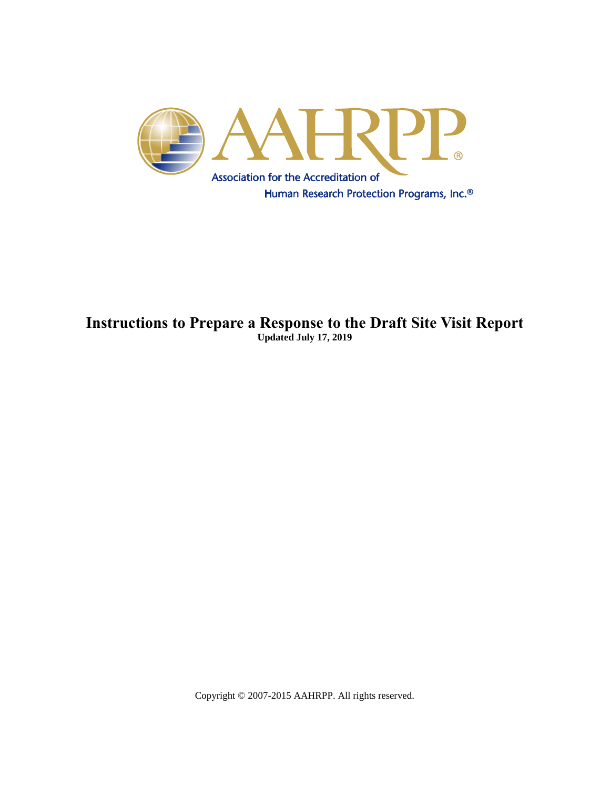

### **Instructions to Prepare a Response to the Draft Site Visit Report Updated July 17, 2019**

Copyright © 2007-2015 AAHRPP. All rights reserved.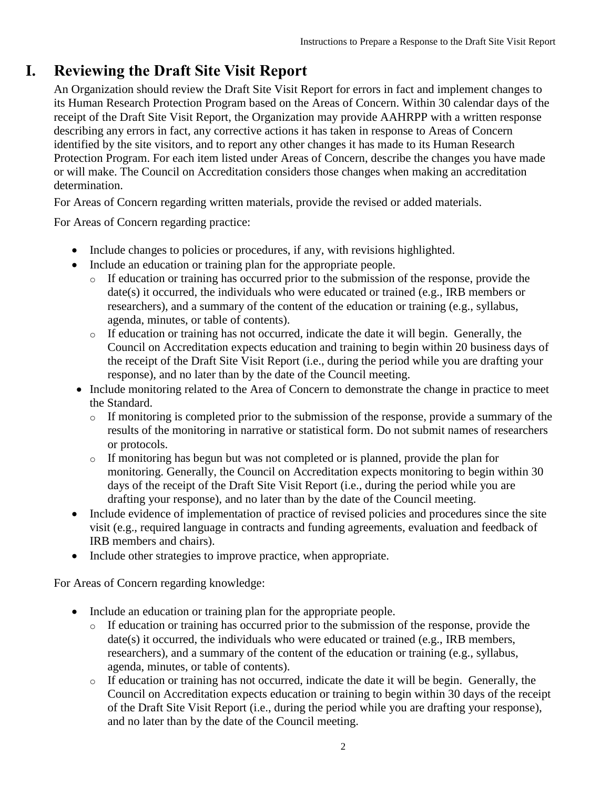### **I. Reviewing the Draft Site Visit Report**

An Organization should review the Draft Site Visit Report for errors in fact and implement changes to its Human Research Protection Program based on the Areas of Concern. Within 30 calendar days of the receipt of the Draft Site Visit Report, the Organization may provide AAHRPP with a written response describing any errors in fact, any corrective actions it has taken in response to Areas of Concern identified by the site visitors, and to report any other changes it has made to its Human Research Protection Program. For each item listed under Areas of Concern, describe the changes you have made or will make. The Council on Accreditation considers those changes when making an accreditation determination.

For Areas of Concern regarding written materials, provide the revised or added materials.

For Areas of Concern regarding practice:

- Include changes to policies or procedures, if any, with revisions highlighted.
- Include an education or training plan for the appropriate people.
	- o If education or training has occurred prior to the submission of the response, provide the date(s) it occurred, the individuals who were educated or trained (e.g., IRB members or researchers), and a summary of the content of the education or training (e.g., syllabus, agenda, minutes, or table of contents).
	- o If education or training has not occurred, indicate the date it will begin. Generally, the Council on Accreditation expects education and training to begin within 20 business days of the receipt of the Draft Site Visit Report (i.e., during the period while you are drafting your response), and no later than by the date of the Council meeting.
- Include monitoring related to the Area of Concern to demonstrate the change in practice to meet the Standard.
	- o If monitoring is completed prior to the submission of the response, provide a summary of the results of the monitoring in narrative or statistical form. Do not submit names of researchers or protocols.
	- o If monitoring has begun but was not completed or is planned, provide the plan for monitoring. Generally, the Council on Accreditation expects monitoring to begin within 30 days of the receipt of the Draft Site Visit Report (i.e., during the period while you are drafting your response), and no later than by the date of the Council meeting.
- Include evidence of implementation of practice of revised policies and procedures since the site visit (e.g., required language in contracts and funding agreements, evaluation and feedback of IRB members and chairs).
- Include other strategies to improve practice, when appropriate.

For Areas of Concern regarding knowledge:

- Include an education or training plan for the appropriate people.
	- o If education or training has occurred prior to the submission of the response, provide the date(s) it occurred, the individuals who were educated or trained (e.g., IRB members, researchers), and a summary of the content of the education or training (e.g., syllabus, agenda, minutes, or table of contents).
	- o If education or training has not occurred, indicate the date it will be begin. Generally, the Council on Accreditation expects education or training to begin within 30 days of the receipt of the Draft Site Visit Report (i.e., during the period while you are drafting your response), and no later than by the date of the Council meeting.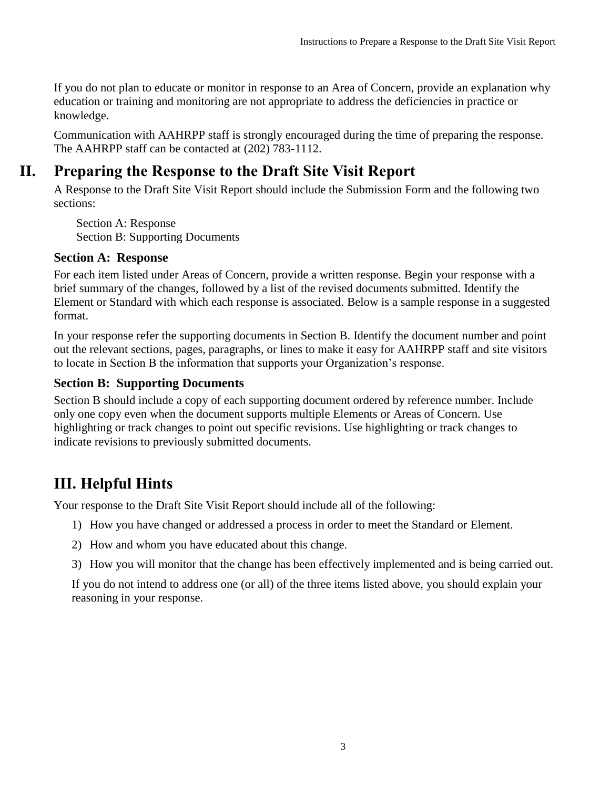If you do not plan to educate or monitor in response to an Area of Concern, provide an explanation why education or training and monitoring are not appropriate to address the deficiencies in practice or knowledge.

Communication with AAHRPP staff is strongly encouraged during the time of preparing the response. The AAHRPP staff can be contacted at (202) 783-1112.

# **II. Preparing the Response to the Draft Site Visit Report**

A Response to the Draft Site Visit Report should include the Submission Form and the following two sections:

Section A: Response Section B: Supporting Documents

#### **Section A: Response**

For each item listed under Areas of Concern, provide a written response. Begin your response with a brief summary of the changes, followed by a list of the revised documents submitted. Identify the Element or Standard with which each response is associated. Below is a sample response in a suggested format.

In your response refer the supporting documents in Section B. Identify the document number and point out the relevant sections, pages, paragraphs, or lines to make it easy for AAHRPP staff and site visitors to locate in Section B the information that supports your Organization's response.

### **Section B: Supporting Documents**

Section B should include a copy of each supporting document ordered by reference number. Include only one copy even when the document supports multiple Elements or Areas of Concern. Use highlighting or track changes to point out specific revisions. Use highlighting or track changes to indicate revisions to previously submitted documents.

# **III. Helpful Hints**

Your response to the Draft Site Visit Report should include all of the following:

- 1) How you have changed or addressed a process in order to meet the Standard or Element.
- 2) How and whom you have educated about this change.
- 3) How you will monitor that the change has been effectively implemented and is being carried out.

If you do not intend to address one (or all) of the three items listed above, you should explain your reasoning in your response.